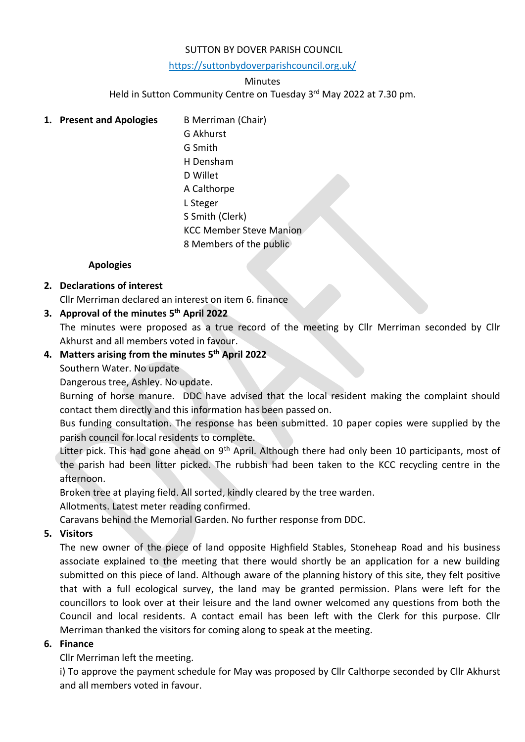#### SUTTON BY DOVER PARISH COUNCIL

<https://suttonbydoverparishcouncil.org.uk/>

#### **Minutes**

Held in Sutton Community Centre on Tuesday 3<sup>rd</sup> May 2022 at 7.30 pm.

## **1. Present and Apologies** B Merriman (Chair)

G Akhurst G Smith H Densham D Willet A Calthorpe L Steger S Smith (Clerk) KCC Member Steve Manion 8 Members of the public

#### **Apologies**

## **2. Declarations of interest**

Cllr Merriman declared an interest on item 6. finance

## **3. Approval of the minutes 5 th April 2022**

The minutes were proposed as a true record of the meeting by Cllr Merriman seconded by Cllr Akhurst and all members voted in favour.

## **4. Matters arising from the minutes 5 th April 2022**

Southern Water. No update

Dangerous tree, Ashley. No update.

Burning of horse manure. DDC have advised that the local resident making the complaint should contact them directly and this information has been passed on.

Bus funding consultation. The response has been submitted. 10 paper copies were supplied by the parish council for local residents to complete.

Litter pick. This had gone ahead on 9<sup>th</sup> April. Although there had only been 10 participants, most of the parish had been litter picked. The rubbish had been taken to the KCC recycling centre in the afternoon.

Broken tree at playing field. All sorted, kindly cleared by the tree warden.

Allotments. Latest meter reading confirmed.

Caravans behind the Memorial Garden. No further response from DDC.

### **5. Visitors**

The new owner of the piece of land opposite Highfield Stables, Stoneheap Road and his business associate explained to the meeting that there would shortly be an application for a new building submitted on this piece of land. Although aware of the planning history of this site, they felt positive that with a full ecological survey, the land may be granted permission. Plans were left for the councillors to look over at their leisure and the land owner welcomed any questions from both the Council and local residents. A contact email has been left with the Clerk for this purpose. Cllr Merriman thanked the visitors for coming along to speak at the meeting.

### **6. Finance**

Cllr Merriman left the meeting.

i) To approve the payment schedule for May was proposed by Cllr Calthorpe seconded by Cllr Akhurst and all members voted in favour.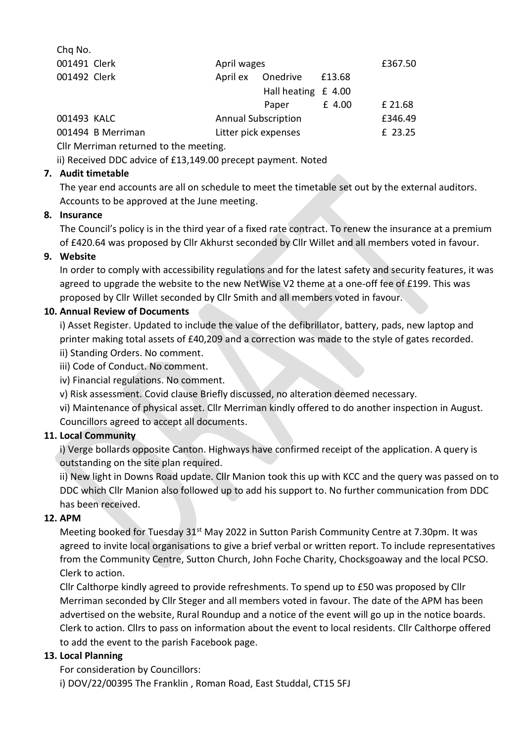| Chq No.                               |                            |                     |         |         |
|---------------------------------------|----------------------------|---------------------|---------|---------|
| 001491 Clerk                          | April wages                |                     |         | £367.50 |
| 001492 Clerk                          | April ex                   | Onedrive            | £13.68  |         |
|                                       |                            | Hall heating £ 4.00 |         |         |
|                                       |                            | Paper               | £ 4.00  | £ 21.68 |
| 001493 KALC                           | <b>Annual Subscription</b> |                     | £346.49 |         |
| 001494 B Merriman                     | Litter pick expenses       |                     | £ 23.25 |         |
| Cllr Marriman raturned to the meeting |                            |                     |         |         |

Cllr Merriman returned to the meeting.

ii) Received DDC advice of £13,149.00 precept payment. Noted

## **7. Audit timetable**

The year end accounts are all on schedule to meet the timetable set out by the external auditors. Accounts to be approved at the June meeting.

## **8. Insurance**

The Council's policy is in the third year of a fixed rate contract. To renew the insurance at a premium of £420.64 was proposed by Cllr Akhurst seconded by Cllr Willet and all members voted in favour.

## **9. Website**

In order to comply with accessibility regulations and for the latest safety and security features, it was agreed to upgrade the website to the new NetWise V2 theme at a one-off fee of £199. This was proposed by Cllr Willet seconded by Cllr Smith and all members voted in favour.

## **10. Annual Review of Documents**

i) Asset Register. Updated to include the value of the defibrillator, battery, pads, new laptop and printer making total assets of £40,209 and a correction was made to the style of gates recorded.

- ii) Standing Orders. No comment.
- iii) Code of Conduct. No comment.
- iv) Financial regulations. No comment.
- v) Risk assessment. Covid clause Briefly discussed, no alteration deemed necessary.

vi) Maintenance of physical asset. Cllr Merriman kindly offered to do another inspection in August. Councillors agreed to accept all documents.

# **11. Local Community**

i) Verge bollards opposite Canton. Highways have confirmed receipt of the application. A query is outstanding on the site plan required.

ii) New light in Downs Road update. Cllr Manion took this up with KCC and the query was passed on to DDC which Cllr Manion also followed up to add his support to. No further communication from DDC has been received.

# **12. APM**

Meeting booked for Tuesday 31<sup>st</sup> May 2022 in Sutton Parish Community Centre at 7.30pm. It was agreed to invite local organisations to give a brief verbal or written report. To include representatives from the Community Centre, Sutton Church, John Foche Charity, Chocksgoaway and the local PCSO. Clerk to action.

Cllr Calthorpe kindly agreed to provide refreshments. To spend up to £50 was proposed by Cllr Merriman seconded by Cllr Steger and all members voted in favour. The date of the APM has been advertised on the website, Rural Roundup and a notice of the event will go up in the notice boards. Clerk to action. Cllrs to pass on information about the event to local residents. Cllr Calthorpe offered to add the event to the parish Facebook page.

# **13. Local Planning**

For consideration by Councillors: i) DOV/22/00395 The Franklin , Roman Road, East Studdal, CT15 5FJ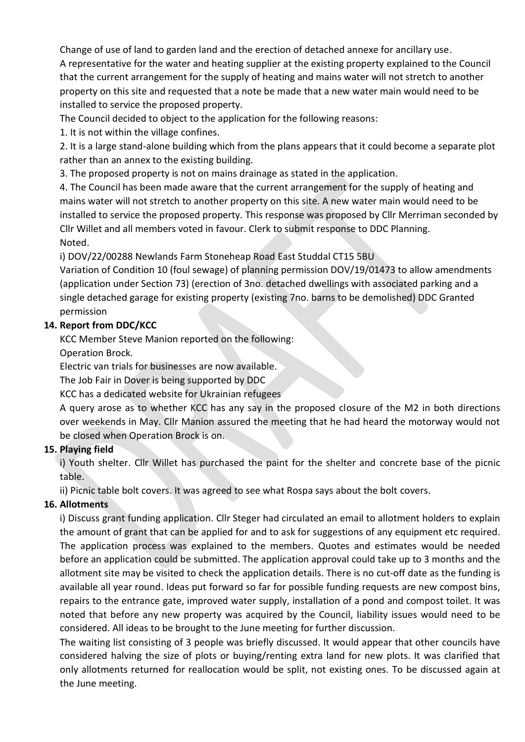Change of use of land to garden land and the erection of detached annexe for ancillary use. A representative for the water and heating supplier at the existing property explained to the Council that the current arrangement for the supply of heating and mains water will not stretch to another property on this site and requested that a note be made that a new water main would need to be installed to service the proposed property.

The Council decided to object to the application for the following reasons:

1. It is not within the village confines.

2. It is a large stand-alone building which from the plans appears that it could become a separate plot rather than an annex to the existing building.

3. The proposed property is not on mains drainage as stated in the application.

4. The Council has been made aware that the current arrangement for the supply of heating and mains water will not stretch to another property on this site. A new water main would need to be installed to service the proposed property. This response was proposed by Cllr Merriman seconded by Cllr Willet and all members voted in favour. Clerk to submit response to DDC Planning. Noted.

i) DOV/22/00288 Newlands Farm Stoneheap Road East Studdal CT15 5BU

Variation of Condition 10 (foul sewage) of planning permission DOV/19/01473 to allow amendments (application under Section 73) (erection of 3no. detached dwellings with associated parking and a single detached garage for existing property (existing 7no. barns to be demolished) DDC Granted permission

## **14. Report from DDC/KCC**

KCC Member Steve Manion reported on the following:

Operation Brock.

Electric van trials for businesses are now available.

The Job Fair in Dover is being supported by DDC

KCC has a dedicated website for Ukrainian refugees

A query arose as to whether KCC has any say in the proposed closure of the M2 in both directions over weekends in May. Cllr Manion assured the meeting that he had heard the motorway would not be closed when Operation Brock is on.

# **15. Playing field**

i) Youth shelter. Cllr Willet has purchased the paint for the shelter and concrete base of the picnic table.

ii) Picnic table bolt covers. It was agreed to see what Rospa says about the bolt covers.

# **16. Allotments**

i) Discuss grant funding application. Cllr Steger had circulated an email to allotment holders to explain the amount of grant that can be applied for and to ask for suggestions of any equipment etc required. The application process was explained to the members. Quotes and estimates would be needed before an application could be submitted. The application approval could take up to 3 months and the allotment site may be visited to check the application details. There is no cut-off date as the funding is available all year round. Ideas put forward so far for possible funding requests are new compost bins, repairs to the entrance gate, improved water supply, installation of a pond and compost toilet. It was noted that before any new property was acquired by the Council, liability issues would need to be considered. All ideas to be brought to the June meeting for further discussion.

The waiting list consisting of 3 people was briefly discussed. It would appear that other councils have considered halving the size of plots or buying/renting extra land for new plots. It was clarified that only allotments returned for reallocation would be split, not existing ones. To be discussed again at the June meeting.